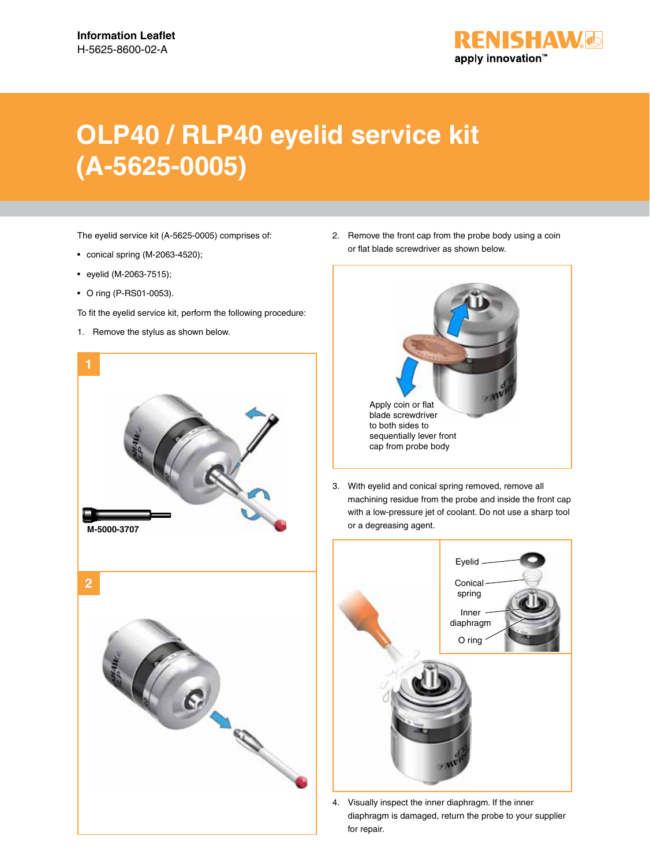

## **OLP40 / RLP40 eyelid service kit (A-5625-0005)**

The eyelid service kit (A-5625-0005) comprises of:

- conical spring (M-2063-4520);
- eyelid (M-2063-7515);
- O ring (P-RS01-0053).
- To fit the eyelid service kit, perform the following procedure:
- 1. Remove the stylus as shown below.



2. Remove the front cap from the probe body using a coin or flat blade screwdriver as shown below.



3. With eyelid and conical spring removed, remove all machining residue from the probe and inside the front cap with a low-pressure jet of coolant. Do not use a sharp tool or a degreasing agent.



4. Visually inspect the inner diaphragm. If the inner diaphragm is damaged, return the probe to your supplier for repair.